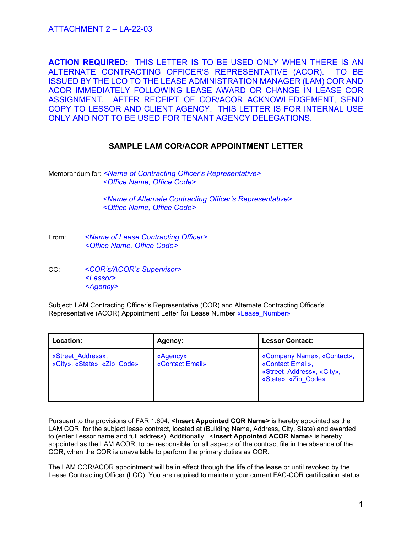**ACTION REQUIRED:** THIS LETTER IS TO BE USED ONLY WHEN THERE IS AN ALTERNATE CONTRACTING OFFICER'S REPRESENTATIVE (ACOR). TO BE ISSUED BY THE LCO TO THE LEASE ADMINISTRATION MANAGER (LAM) COR AND ACOR IMMEDIATELY FOLLOWING LEASE AWARD OR CHANGE IN LEASE COR ASSIGNMENT. AFTER RECEIPT OF COR/ACOR ACKNOWLEDGEMENT, SEND COPY TO LESSOR AND CLIENT AGENCY. THIS LETTER IS FOR INTERNAL USE ONLY AND NOT TO BE USED FOR TENANT AGENCY DELEGATIONS.

### **SAMPLE LAM COR/ACOR APPOINTMENT LETTER**

Memorandum for: *<Name of Contracting Officer's Representative> <Office Name, Office Code>*

> *<Name of Alternate Contracting Officer's Representative> <Office Name, Office Code>*

From: *<Name of Lease Contracting Officer> <Office Name, Office Code>*

CC: *<COR's/ACOR's Supervisor> <Lessor> <Agency>*

Subject: LAM Contracting Officer's Representative (COR) and Alternate Contracting Officer's Representative (ACOR) Appointment Letter for Lease Number «Lease\_Number»

| Location:                                       | Agency:                     | <b>Lessor Contact:</b>                                                                            |
|-------------------------------------------------|-----------------------------|---------------------------------------------------------------------------------------------------|
| «Street Address»,<br>«City», «State» «Zip Code» | «Agency»<br>«Contact Email» | «Company Name», «Contact»,<br>«Contact Email»,<br>«Street Address», «City»,<br>«State» «Zip Code» |

Pursuant to the provisions of FAR 1.604, **<Insert Appointed COR Name>** is hereby appointed as the LAM COR for the subject lease contract, located at (Building Name, Address, City, State) and awarded to (enter Lessor name and full address). Additionally, <**Insert Appointed ACOR Name**> is hereby appointed as the LAM ACOR, to be responsible for all aspects of the contract file in the absence of the COR, when the COR is unavailable to perform the primary duties as COR.

The LAM COR/ACOR appointment will be in effect through the life of the lease or until revoked by the Lease Contracting Officer (LCO). You are required to maintain your current FAC-COR certification status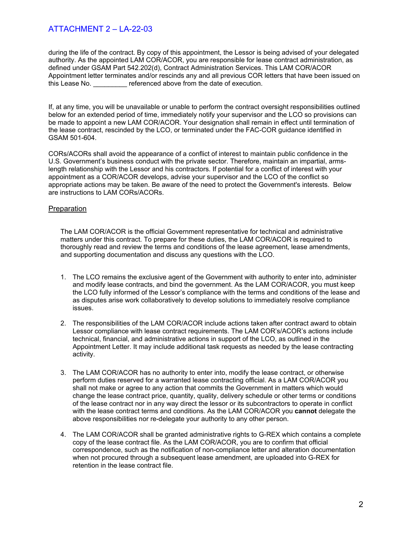during the life of the contract. By copy of this appointment, the Lessor is being advised of your delegated authority. As the appointed LAM COR/ACOR, you are responsible for lease contract administration, as defined under GSAM Part 542.202(d), Contract Administration Services. This LAM COR/ACOR Appointment letter terminates and/or rescinds any and all previous COR letters that have been issued on this Lease No. **Exercise 1** referenced above from the date of execution.

If, at any time, you will be unavailable or unable to perform the contract oversight responsibilities outlined below for an extended period of time, immediately notify your supervisor and the LCO so provisions can be made to appoint a new LAM COR/ACOR. Your designation shall remain in effect until termination of the lease contract, rescinded by the LCO, or terminated under the FAC-COR guidance identified in GSAM 501-604.

CORs/ACORs shall avoid the appearance of a conflict of interest to maintain public confidence in the U.S. Government's business conduct with the private sector. Therefore, maintain an impartial, armslength relationship with the Lessor and his contractors. If potential for a conflict of interest with your appointment as a COR/ACOR develops, advise your supervisor and the LCO of the conflict so appropriate actions may be taken. Be aware of the need to protect the Government's interests. Below are instructions to LAM CORs/ACORs.

### **Preparation**

The LAM COR/ACOR is the official Government representative for technical and administrative matters under this contract. To prepare for these duties, the LAM COR/ACOR is required to thoroughly read and review the terms and conditions of the lease agreement, lease amendments, and supporting documentation and discuss any questions with the LCO.

- 1. The LCO remains the exclusive agent of the Government with authority to enter into, administer and modify lease contracts, and bind the government. As the LAM COR/ACOR, you must keep the LCO fully informed of the Lessor's compliance with the terms and conditions of the lease and as disputes arise work collaboratively to develop solutions to immediately resolve compliance issues.
- 2. The responsibilities of the LAM COR/ACOR include actions taken after contract award to obtain Lessor compliance with lease contract requirements. The LAM COR's/ACOR's actions include technical, financial, and administrative actions in support of the LCO, as outlined in the Appointment Letter. It may include additional task requests as needed by the lease contracting activity.
- 3. The LAM COR/ACOR has no authority to enter into, modify the lease contract, or otherwise perform duties reserved for a warranted lease contracting official. As a LAM COR/ACOR you shall not make or agree to any action that commits the Government in matters which would change the lease contract price, quantity, quality, delivery schedule or other terms or conditions of the lease contract nor in any way direct the lessor or its subcontractors to operate in conflict with the lease contract terms and conditions. As the LAM COR/ACOR you **cannot** delegate the above responsibilities nor re-delegate your authority to any other person.
- 4. The LAM COR/ACOR shall be granted administrative rights to G-REX which contains a complete copy of the lease contract file. As the LAM COR/ACOR, you are to confirm that official correspondence, such as the notification of non-compliance letter and alteration documentation when not procured through a subsequent lease amendment, are uploaded into G-REX for retention in the lease contract file.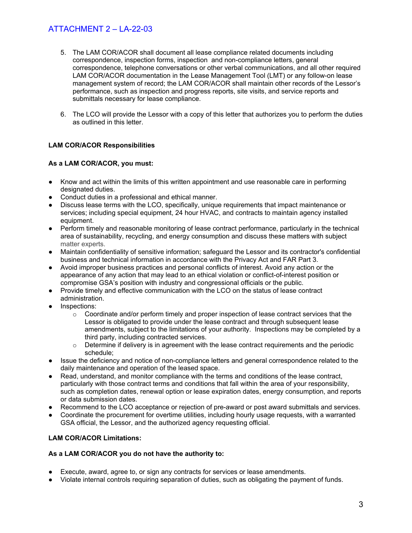- 5. The LAM COR/ACOR shall document all lease compliance related documents including correspondence, inspection forms, inspection and non-compliance letters, general correspondence, telephone conversations or other verbal communications, and all other required LAM COR/ACOR documentation in the Lease Management Tool (LMT) or any follow-on lease management system of record; the LAM COR/ACOR shall maintain other records of the Lessor's performance, such as inspection and progress reports, site visits, and service reports and submittals necessary for lease compliance.
- 6. The LCO will provide the Lessor with a copy of this letter that authorizes you to perform the duties as outlined in this letter.

### **LAM COR/ACOR Responsibilities**

### **As a LAM COR/ACOR, you must:**

- Know and act within the limits of this written appointment and use reasonable care in performing designated duties.
- Conduct duties in a professional and ethical manner.
- Discuss lease terms with the LCO, specifically, unique requirements that impact maintenance or services; including special equipment, 24 hour HVAC, and contracts to maintain agency installed equipment.
- Perform timely and reasonable monitoring of lease contract performance, particularly in the technical area of sustainability, recycling, and energy consumption and discuss these matters with subject matter experts.
- Maintain confidentiality of sensitive information; safeguard the Lessor and its contractor's confidential business and technical information in accordance with the Privacy Act and FAR Part 3.
- Avoid improper business practices and personal conflicts of interest. Avoid any action or the appearance of any action that may lead to an ethical violation or conflict-of-interest position or compromise GSA's position with industry and congressional officials or the public.
- Provide timely and effective communication with the LCO on the status of lease contract administration.
- Inspections:
	- $\circ$  Coordinate and/or perform timely and proper inspection of lease contract services that the Lessor is obligated to provide under the lease contract and through subsequent lease amendments, subject to the limitations of your authority. Inspections may be completed by a third party, including contracted services.
	- $\circ$  Determine if delivery is in agreement with the lease contract requirements and the periodic schedule;
- Issue the deficiency and notice of non-compliance letters and general correspondence related to the daily maintenance and operation of the leased space.
- Read, understand, and monitor compliance with the terms and conditions of the lease contract, particularly with those contract terms and conditions that fall within the area of your responsibility, such as completion dates, renewal option or lease expiration dates, energy consumption, and reports or data submission dates.
- Recommend to the LCO acceptance or rejection of pre-award or post award submittals and services.
- Coordinate the procurement for overtime utilities, including hourly usage requests, with a warranted GSA official, the Lessor, and the authorized agency requesting official.

### **LAM COR/ACOR Limitations:**

### **As a LAM COR/ACOR you do not have the authority to:**

- Execute, award, agree to, or sign any contracts for services or lease amendments.
- Violate internal controls requiring separation of duties, such as obligating the payment of funds.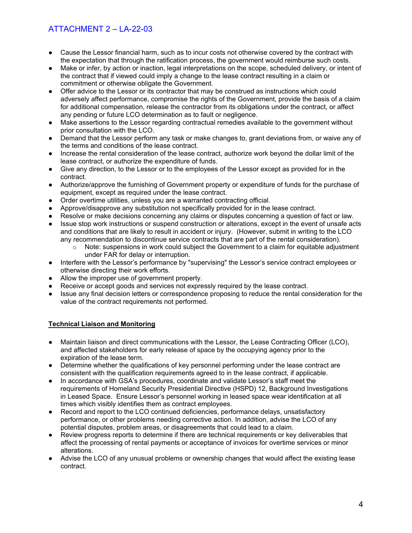- Cause the Lessor financial harm, such as to incur costs not otherwise covered by the contract with the expectation that through the ratification process, the government would reimburse such costs.
- Make or infer, by action or inaction, legal interpretations on the scope, scheduled delivery, or intent of the contract that if viewed could imply a change to the lease contract resulting in a claim or commitment or otherwise obligate the Government.
- Offer advice to the Lessor or its contractor that may be construed as instructions which could adversely affect performance, compromise the rights of the Government, provide the basis of a claim for additional compensation, release the contractor from its obligations under the contract, or affect any pending or future LCO determination as to fault or negligence.
- Make assertions to the Lessor regarding contractual remedies available to the government without prior consultation with the LCO.
- Demand that the Lessor perform any task or make changes to, grant deviations from, or waive any of the terms and conditions of the lease contract.
- Increase the rental consideration of the lease contract, authorize work beyond the dollar limit of the lease contract, or authorize the expenditure of funds.
- Give any direction, to the Lessor or to the employees of the Lessor except as provided for in the contract.
- Authorize/approve the furnishing of Government property or expenditure of funds for the purchase of equipment, except as required under the lease contract.
- Order overtime utilities, unless you are a warranted contracting official.
- Approve/disapprove any substitution not specifically provided for in the lease contract.
- Resolve or make decisions concerning any claims or disputes concerning a question of fact or law.
- Issue stop work instructions or suspend construction or alterations, except in the event of unsafe acts and conditions that are likely to result in accident or injury. (However, submit in writing to the LCO any recommendation to discontinue service contracts that are part of the rental consideration).
	- Note: suspensions in work could subject the Government to a claim for equitable adjustment under FAR for delay or interruption.
- Interfere with the Lessor's performance by "supervising" the Lessor's service contract employees or otherwise directing their work efforts.
- Allow the improper use of government property.
- Receive or accept goods and services not expressly required by the lease contract.
- Issue any final decision letters or correspondence proposing to reduce the rental consideration for the value of the contract requirements not performed.

### **Technical Liaison and Monitoring**

- Maintain liaison and direct communications with the Lessor, the Lease Contracting Officer (LCO), and affected stakeholders for early release of space by the occupying agency prior to the expiration of the lease term.
- Determine whether the qualifications of key personnel performing under the lease contract are consistent with the qualification requirements agreed to in the lease contract, if applicable.
- In accordance with GSA's procedures, coordinate and validate Lessor's staff meet the requirements of Homeland Security Presidential Directive (HSPD) 12, Background Investigations in Leased Space. Ensure Lessor's personnel working in leased space wear identification at all times which visibly identifies them as contract employees.
- Record and report to the LCO continued deficiencies, performance delays, unsatisfactory performance, or other problems needing corrective action. In addition, advise the LCO of any potential disputes, problem areas, or disagreements that could lead to a claim.
- Review progress reports to determine if there are technical requirements or key deliverables that affect the processing of rental payments or acceptance of invoices for overtime services or minor alterations.
- Advise the LCO of any unusual problems or ownership changes that would affect the existing lease contract.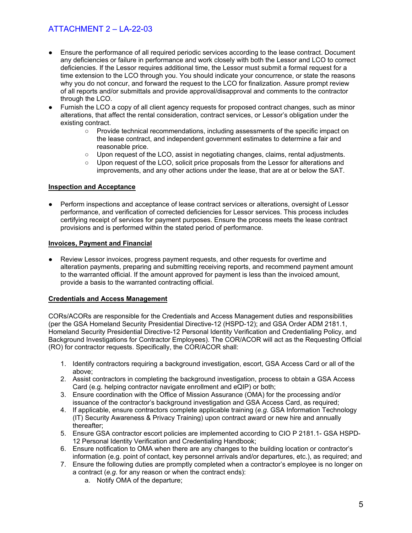- Ensure the performance of all required periodic services according to the lease contract. Document any deficiencies or failure in performance and work closely with both the Lessor and LCO to correct deficiencies. If the Lessor requires additional time, the Lessor must submit a formal request for a time extension to the LCO through you. You should indicate your concurrence, or state the reasons why you do not concur, and forward the request to the LCO for finalization. Assure prompt review of all reports and/or submittals and provide approval/disapproval and comments to the contractor through the LCO.
- Furnish the LCO a copy of all client agency requests for proposed contract changes, such as minor alterations, that affect the rental consideration, contract services, or Lessor's obligation under the existing contract.
	- Provide technical recommendations, including assessments of the specific impact on the lease contract, and independent government estimates to determine a fair and reasonable price.
	- Upon request of the LCO, assist in negotiating changes, claims, rental adjustments.
	- Upon request of the LCO, solicit price proposals from the Lessor for alterations and improvements, and any other actions under the lease, that are at or below the SAT.

### **Inspection and Acceptance**

Perform inspections and acceptance of lease contract services or alterations, oversight of Lessor performance, and verification of corrected deficiencies for Lessor services. This process includes certifying receipt of services for payment purposes. Ensure the process meets the lease contract provisions and is performed within the stated period of performance.

### **Invoices, Payment and Financial**

● Review Lessor invoices, progress payment requests, and other requests for overtime and alteration payments, preparing and submitting receiving reports, and recommend payment amount to the warranted official. If the amount approved for payment is less than the invoiced amount, provide a basis to the warranted contracting official.

### **Credentials and Access Management**

CORs/ACORs are responsible for the Credentials and Access Management duties and responsibilities (per the GSA Homeland Security Presidential Directive-12 (HSPD-12); and GSA Order ADM 2181.1, Homeland Security Presidential Directive-12 Personal Identity Verification and Credentialing Policy, and Background Investigations for Contractor Employees). The COR/ACOR will act as the Requesting Official (RO) for contractor requests. Specifically, the COR/ACOR shall:

- 1. Identify contractors requiring a background investigation, escort, GSA Access Card or all of the above;
- 2. Assist contractors in completing the background investigation, process to obtain a GSA Access Card (e.g. helping contractor navigate enrollment and eQIP) or both;
- 3. Ensure coordination with the Office of Mission Assurance (OMA) for the processing and/or issuance of the contractor's background investigation and GSA Access Card, as required;
- 4. If applicable, ensure contractors complete applicable training (*e.g.* GSA Information Technology (IT) Security Awareness & Privacy Training) upon contract award or new hire and annually thereafter;
- 5. Ensure GSA contractor escort policies are implemented according to CIO P 2181.1- GSA HSPD-12 Personal Identity Verification and Credentialing Handbook;
- 6. Ensure notification to OMA when there are any changes to the building location or contractor's information (e.g. point of contact, key personnel arrivals and/or departures, etc.), as required; and
- 7. Ensure the following duties are promptly completed when a contractor's employee is no longer on a contract (*e.g*. for any reason or when the contract ends):
	- a. Notify OMA of the departure;